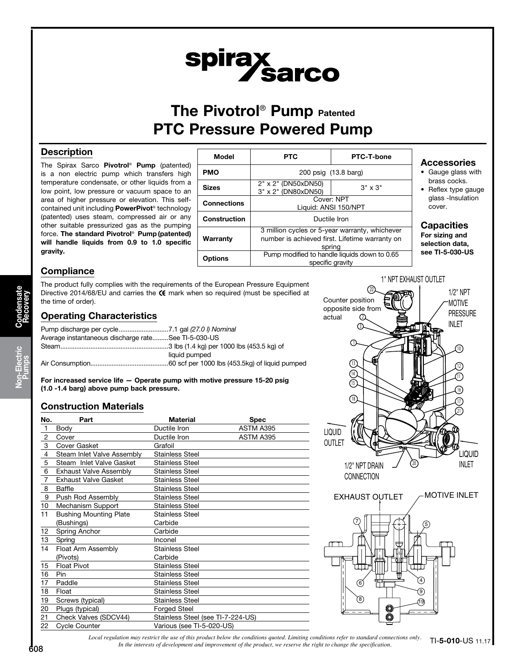# spirax<br>Sarco

# The Pivotrol<sup>®</sup> Pump Patented PTC Pressure Powered Pump

## **Description**

The Spirax Sarco Pivotrol® Pump (patented) is a non electric pump which transfers high temperature condensate, or other liquids from a low point, low pressure or vacuum space to an area of higher pressure or elevation. This selfcontained unit including PowerPivot® technology (patented) uses steam, compressed air or any other suitable pressurized gas as the pumping force. The standard Pivotrol® Pump (patented) will handle liquids from 0.9 to 1.0 specific gravity.



# Accessories

- Gauge glass with brass cocks.
- Reflex type gauge glass -Insulation cover.

# Capacities

For sizing and selection data, see TI-5-030-US

# **Compliance**

The product fully complies with the requirements of the European Pressure Equipment Directive 2014/68/EU and carries the  $\mathsf C \mathsf E$  mark when so required (must be specified at the time of order).

## Operating Characteristics

| Average instantaneous discharge rateSee TI-5-030-US |               |
|-----------------------------------------------------|---------------|
|                                                     | liquid pumped |
|                                                     |               |

For increased service life — Operate pump with motive pressure 15-20 psig (1.0 -1.4 barg) above pump back pressure.

## Construction Materials

| No.            | Part                          | <b>Material</b>                   | <b>Spec</b> |
|----------------|-------------------------------|-----------------------------------|-------------|
| $\mathbf{1}$   | Body                          | Ductile Iron                      | ASTM A395   |
| $\overline{c}$ | Cover                         | Ductile Iron                      | ASTM A395   |
| 3              | Cover Gasket                  | Grafoil                           |             |
| 4              | Steam Inlet Valve Assembly    | <b>Stainless Steel</b>            |             |
| 5              | Steam Inlet Valve Gasket      | <b>Stainless Steel</b>            |             |
| 6              | <b>Exhaust Valve Assembly</b> | <b>Stainless Steel</b>            |             |
| $\overline{7}$ | <b>Exhaust Valve Gasket</b>   | <b>Stainless Steel</b>            |             |
| 8              | Baffle                        | <b>Stainless Steel</b>            |             |
| 9              | Push Rod Assembly             | <b>Stainless Steel</b>            |             |
| 10             | Mechanism Support             | <b>Stainless Steel</b>            |             |
| 11             | <b>Bushing Mounting Plate</b> | <b>Stainless Steel</b>            |             |
|                | (Bushings)                    | Carbide                           |             |
| 12             | Spring Anchor                 | Carbide                           |             |
| 13             | Spring                        | Inconel                           |             |
| 14             | Float Arm Assembly            | <b>Stainless Steel</b>            |             |
|                | (Pivots)                      | Carbide                           |             |
| 15             | <b>Float Pivot</b>            | <b>Stainless Steel</b>            |             |
| 16             | Pin.                          | <b>Stainless Steel</b>            |             |
| 17             | Paddle                        | <b>Stainless Steel</b>            |             |
| 18             | Float                         | <b>Stainless Steel</b>            |             |
| 19             | Screws (typical)              | <b>Stainless Steel</b>            |             |
| 20             | Plugs (typical)               | <b>Forged Steel</b>               |             |
| 21             | Check Valves (SDCV44)         | Stainless Steel (see TI-7-224-US) |             |
| 22             | Cycle Counter                 | Various (see TI-5-020-US)         |             |



*Local regulation may restrict the use of this product below the conditions quoted. Limiting conditions refer to standard connections only. In the interests of development and improvement of the product, we reserve the right to change the specification.* TI-5-010-US 11.17